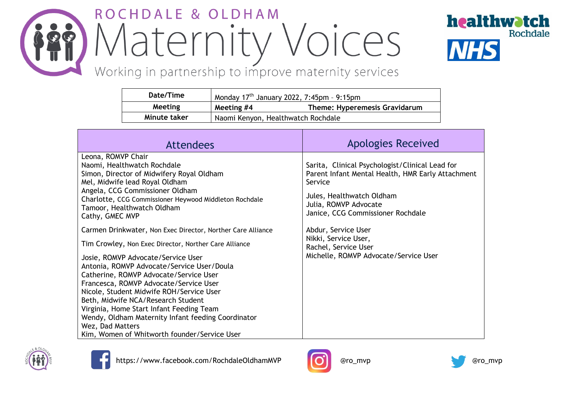## ROCHDALE & OLDHAM Maternity Voices



Working in partnership to improve maternity services

| Date/Time    | Monday $17th$ January 2022, 7:45pm - 9:15pm |                                    |
|--------------|---------------------------------------------|------------------------------------|
| Meeting      | Meeting #4                                  | Theme: Hyperemesis Gravidarum      |
| Minute taker |                                             | Naomi Kenyon, Healthwatch Rochdale |

| <b>Attendees</b>                                                                                                                                                                                                                                                                                                                                                                                                                                                                                                                                                                                                                                                                                                                                                                                                                       | <b>Apologies Received</b>                                                                                                                                                                                                                                                                                                  |
|----------------------------------------------------------------------------------------------------------------------------------------------------------------------------------------------------------------------------------------------------------------------------------------------------------------------------------------------------------------------------------------------------------------------------------------------------------------------------------------------------------------------------------------------------------------------------------------------------------------------------------------------------------------------------------------------------------------------------------------------------------------------------------------------------------------------------------------|----------------------------------------------------------------------------------------------------------------------------------------------------------------------------------------------------------------------------------------------------------------------------------------------------------------------------|
| Leona, ROMVP Chair<br>Naomi, Healthwatch Rochdale<br>Simon, Director of Midwifery Royal Oldham<br>Mel, Midwife lead Royal Oldham<br>Angela, CCG Commissioner Oldham<br>Charlotte, CCG Commissioner Heywood Middleton Rochdale<br>Tamoor, Healthwatch Oldham<br>Cathy, GMEC MVP<br>Carmen Drinkwater, Non Exec Director, Norther Care Alliance<br>Tim Crowley, Non Exec Director, Norther Care Alliance<br>Josie, ROMVP Advocate/Service User<br>Antonia, ROMVP Advocate/Service User/Doula<br>Catherine, ROMVP Advocate/Service User<br>Francesca, ROMVP Advocate/Service User<br>Nicole, Student Midwife ROH/Service User<br>Beth, Midwife NCA/Research Student<br>Virginia, Home Start Infant Feeding Team<br>Wendy, Oldham Maternity Infant feeding Coordinator<br>Wez, Dad Matters<br>Kim, Women of Whitworth founder/Service User | Sarita, Clinical Psychologist/Clinical Lead for<br>Parent Infant Mental Health, HMR Early Attachment<br>Service<br>Jules, Healthwatch Oldham<br>Julia, ROMVP Advocate<br>Janice, CCG Commissioner Rochdale<br>Abdur, Service User<br>Nikki, Service User,<br>Rachel, Service User<br>Michelle, ROMVP Advocate/Service User |







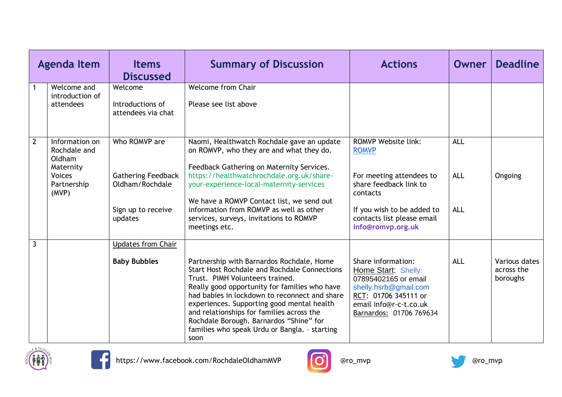|                | <b>Agenda Item</b>                                                                             | <b>Items</b><br><b>Discussed</b>                                                               | <b>Summary of Discussion</b>                                                                                                                                                                                                                                                                                                                                                                                                         | <b>Actions</b>                                                                                                                                                                                | Owner                                  | <b>Deadline</b>                         |
|----------------|------------------------------------------------------------------------------------------------|------------------------------------------------------------------------------------------------|--------------------------------------------------------------------------------------------------------------------------------------------------------------------------------------------------------------------------------------------------------------------------------------------------------------------------------------------------------------------------------------------------------------------------------------|-----------------------------------------------------------------------------------------------------------------------------------------------------------------------------------------------|----------------------------------------|-----------------------------------------|
| $\overline{1}$ | Welcome and<br>introduction of<br>attendees                                                    | Welcome<br>Introductions of<br>attendees via chat                                              | <b>Welcome from Chair</b><br>Please see list above                                                                                                                                                                                                                                                                                                                                                                                   |                                                                                                                                                                                               |                                        |                                         |
| $\overline{2}$ | Information on<br>Rochdale and<br>Oldham<br>Maternity<br><b>Voices</b><br>Partnership<br>(MVP) | Who ROMVP are<br><b>Gathering Feedback</b><br>Oldham/Rochdale<br>Sign up to receive<br>updates | Naomi, Healthwatch Rochdale gave an update<br>on ROMVP, who they are and what they do.<br>Feedback Gathering on Maternity Services.<br>https://healthwatchrochdale.org.uk/share-<br>your-experience-local-maternity-services<br>We have a ROMVP Contact list, we send out<br>information from ROMVP as well as other<br>services, surveys, invitations to ROMVP<br>meetings etc.                                                     | <b>ROMVP Website link:</b><br><b>ROMVP</b><br>For meeting attendees to<br>share feedback link to<br>contacts<br>If you wish to be added to<br>contacts list please email<br>info@romvp.org.uk | <b>ALL</b><br><b>ALL</b><br><b>ALL</b> | Ongoing                                 |
| $\overline{3}$ |                                                                                                | <b>Updates from Chair</b><br><b>Baby Bubbles</b>                                               | Partnership with Barnardos Rochdale, Home<br><b>Start Host Rochdale and Rochdale Connections</b><br>Trust. PIMH Volunteers trained.<br>Really good opportunity for families who have<br>had babies in lockdown to reconnect and share<br>experiences. Supporting good mental health<br>and relationships for families across the<br>Rochdale Borough. Barnardos "Shine" for<br>families who speak Urdu or Bangla. - starting<br>soon | Share information:<br>Home Start: Shelly:<br>07895402165 or email<br>shelly.hsrb@gmail.com<br>RCT: 01706 345111 or<br>email info@r-c-t.co.uk<br>Barnardos: 01706 769634                       | <b>ALL</b>                             | Various dates<br>across the<br>boroughs |





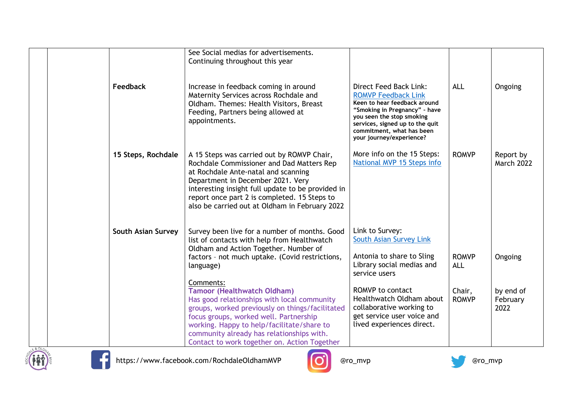|                           | See Social medias for advertisements.<br>Continuing throughout this year                                                                                                                                                                                                                                                   |                                                                                                                                                                                                                                                |                            |                                |
|---------------------------|----------------------------------------------------------------------------------------------------------------------------------------------------------------------------------------------------------------------------------------------------------------------------------------------------------------------------|------------------------------------------------------------------------------------------------------------------------------------------------------------------------------------------------------------------------------------------------|----------------------------|--------------------------------|
| Feedback                  | Increase in feedback coming in around<br>Maternity Services across Rochdale and<br>Oldham. Themes: Health Visitors, Breast<br>Feeding, Partners being allowed at<br>appointments.                                                                                                                                          | Direct Feed Back Link:<br><b>ROMVP Feedback Link</b><br>Keen to hear feedback around<br>"Smoking in Pregnancy" - have<br>you seen the stop smoking<br>services, signed up to the quit<br>commitment, what has been<br>your journey/experience? | <b>ALL</b>                 | Ongoing                        |
| 15 Steps, Rochdale        | A 15 Steps was carried out by ROMVP Chair,<br>Rochdale Commissioner and Dad Matters Rep<br>at Rochdale Ante-natal and scanning<br>Department in December 2021. Very<br>interesting insight full update to be provided in<br>report once part 2 is completed. 15 Steps to<br>also be carried out at Oldham in February 2022 | More info on the 15 Steps:<br>National MVP 15 Steps info                                                                                                                                                                                       | <b>ROMVP</b>               | Report by<br><b>March 2022</b> |
| <b>South Asian Survey</b> | Survey been live for a number of months. Good<br>list of contacts with help from Healthwatch<br>Oldham and Action Together. Number of<br>factors - not much uptake. (Covid restrictions,<br>language)<br>Comments:                                                                                                         | Link to Survey:<br><b>South Asian Survey Link</b><br>Antonia to share to Sling<br>Library social medias and<br>service users                                                                                                                   | <b>ROMVP</b><br><b>ALL</b> | Ongoing                        |
|                           | <b>Tamoor (Healthwatch Oldham)</b><br>Has good relationships with local community<br>groups, worked previously on things/facilitated<br>focus groups, worked well. Partnership<br>working. Happy to help/facilitate/share to<br>community already has relationships with.<br>Contact to work together on. Action Together  | ROMVP to contact<br>Healthwatch Oldham about<br>collaborative working to<br>get service user voice and<br>lived experiences direct.                                                                                                            | Chair,<br><b>ROMVP</b>     | by end of<br>February<br>2022  |





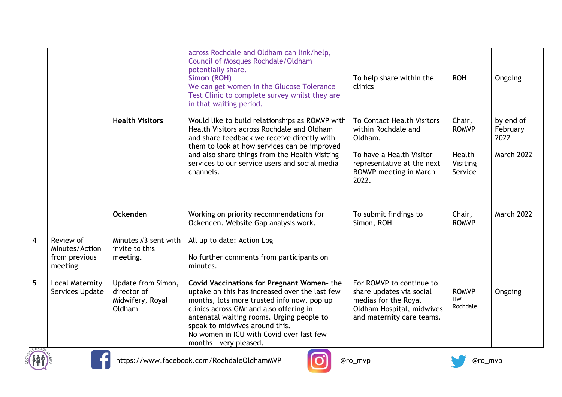|                |                                                         |                                                                 | across Rochdale and Oldham can link/help,<br><b>Council of Mosques Rochdale/Oldham</b><br>potentially share.<br>Simon (ROH)<br>We can get women in the Glucose Tolerance<br>Test Clinic to complete survey whilst they are<br>in that waiting period.                                                                                     | To help share within the<br>clinics                                                                                                                              | <b>ROH</b>                                              | Ongoing                                            |
|----------------|---------------------------------------------------------|-----------------------------------------------------------------|-------------------------------------------------------------------------------------------------------------------------------------------------------------------------------------------------------------------------------------------------------------------------------------------------------------------------------------------|------------------------------------------------------------------------------------------------------------------------------------------------------------------|---------------------------------------------------------|----------------------------------------------------|
|                |                                                         | <b>Health Visitors</b>                                          | Would like to build relationships as ROMVP with<br>Health Visitors across Rochdale and Oldham<br>and share feedback we receive directly with<br>them to look at how services can be improved<br>and also share things from the Health Visiting<br>services to our service users and social media<br>channels.                             | <b>To Contact Health Visitors</b><br>within Rochdale and<br>Oldham.<br>To have a Health Visitor<br>representative at the next<br>ROMVP meeting in March<br>2022. | Chair,<br><b>ROMVP</b><br>Health<br>Visiting<br>Service | by end of<br>February<br>2022<br><b>March 2022</b> |
|                |                                                         | Ockenden                                                        | Working on priority recommendations for<br>Ockenden. Website Gap analysis work.                                                                                                                                                                                                                                                           | To submit findings to<br>Simon, ROH                                                                                                                              | Chair,<br><b>ROMVP</b>                                  | <b>March 2022</b>                                  |
| $\overline{4}$ | Review of<br>Minutes/Action<br>from previous<br>meeting | Minutes #3 sent with<br>invite to this<br>meeting.              | All up to date: Action Log<br>No further comments from participants on<br>minutes.                                                                                                                                                                                                                                                        |                                                                                                                                                                  |                                                         |                                                    |
| $5\phantom{.}$ | Local Maternity<br>Services Update                      | Update from Simon,<br>director of<br>Midwifery, Royal<br>Oldham | Covid Vaccinations for Pregnant Women-the<br>uptake on this has increased over the last few<br>months, lots more trusted info now, pop up<br>clinics across GMr and also offering in<br>antenatal waiting rooms. Urging people to<br>speak to midwives around this.<br>No women in ICU with Covid over last few<br>months - very pleased. | For ROMVP to continue to<br>share updates via social<br>medias for the Royal<br>Oldham Hospital, midwives<br>and maternity care teams.                           | <b>ROMVP</b><br><b>HW</b><br>Rochdale                   | Ongoing                                            |





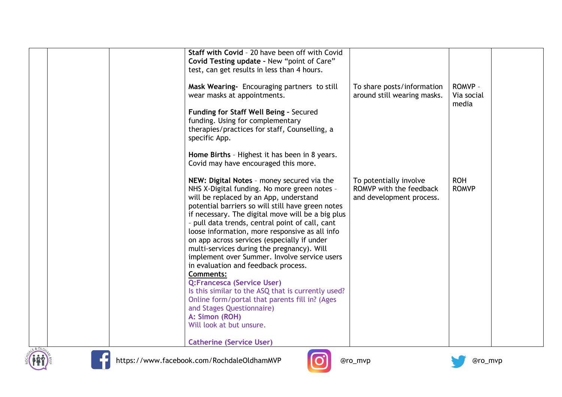|          | Staff with Covid - 20 have been off with Covid<br>Covid Testing update - New "point of Care"<br>test, can get results in less than 4 hours.                                                                                                                                                                                                                                                                                                                                                                                                                                                                                                                                                                                                                                  |                                                                               |                                |  |
|----------|------------------------------------------------------------------------------------------------------------------------------------------------------------------------------------------------------------------------------------------------------------------------------------------------------------------------------------------------------------------------------------------------------------------------------------------------------------------------------------------------------------------------------------------------------------------------------------------------------------------------------------------------------------------------------------------------------------------------------------------------------------------------------|-------------------------------------------------------------------------------|--------------------------------|--|
|          | Mask Wearing- Encouraging partners to still<br>wear masks at appointments.                                                                                                                                                                                                                                                                                                                                                                                                                                                                                                                                                                                                                                                                                                   | To share posts/information<br>around still wearing masks.                     | ROMVP -<br>Via social<br>media |  |
|          | Funding for Staff Well Being - Secured<br>funding. Using for complementary<br>therapies/practices for staff, Counselling, a<br>specific App.                                                                                                                                                                                                                                                                                                                                                                                                                                                                                                                                                                                                                                 |                                                                               |                                |  |
|          | Home Births - Highest it has been in 8 years.<br>Covid may have encouraged this more.                                                                                                                                                                                                                                                                                                                                                                                                                                                                                                                                                                                                                                                                                        |                                                                               |                                |  |
|          | NEW: Digital Notes - money secured via the<br>NHS X-Digital funding. No more green notes -<br>will be replaced by an App, understand<br>potential barriers so will still have green notes<br>if necessary. The digital move will be a big plus<br>- pull data trends, central point of call, cant<br>loose information, more responsive as all info<br>on app across services (especially if under<br>multi-services during the pregnancy). Will<br>implement over Summer. Involve service users<br>in evaluation and feedback process.<br><b>Comments:</b><br>Q:Francesca (Service User)<br>Is this similar to the ASQ that is currently used?<br>Online form/portal that parents fill in? (Ages<br>and Stages Questionnaire)<br>A: Simon (ROH)<br>Will look at but unsure. | To potentially involve<br>ROMVP with the feedback<br>and development process. | <b>ROH</b><br><b>ROMVP</b>     |  |
| E & OLDL | <b>Catherine (Service User)</b>                                                                                                                                                                                                                                                                                                                                                                                                                                                                                                                                                                                                                                                                                                                                              |                                                                               |                                |  |





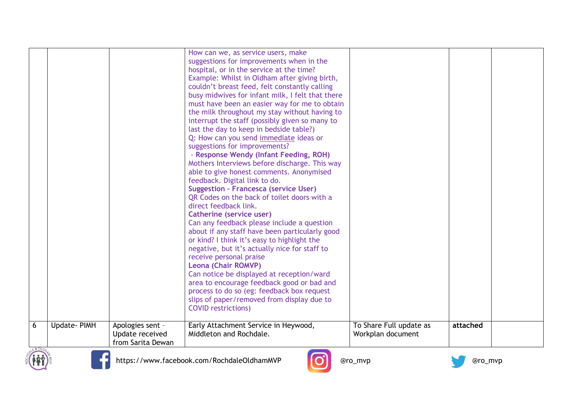|   |             |                                                          | How can we, as service users, make<br>suggestions for improvements when in the<br>hospital, or in the service at the time?<br>Example: Whilst in Oldham after giving birth,<br>couldn't breast feed, felt constantly calling<br>busy midwives for infant milk, I felt that there<br>must have been an easier way for me to obtain<br>the milk throughout my stay without having to<br>interrupt the staff (possibly given so many to<br>last the day to keep in bedside table?)<br>Q: How can you send immediate ideas or<br>suggestions for improvements?<br>- Response Wendy (Infant Feeding, ROH)<br>Mothers Interviews before discharge. This way<br>able to give honest comments. Anonymised<br>feedback. Digital link to do.<br><b>Suggestion - Francesca (service User)</b><br>QR Codes on the back of toilet doors with a<br>direct feedback link.<br>Catherine (service user)<br>Can any feedback please include a question<br>about if any staff have been particularly good<br>or kind? I think it's easy to highlight the<br>negative, but it's actually nice for staff to<br>receive personal praise<br><b>Leona (Chair ROMVP)</b><br>Can notice be displayed at reception/ward<br>area to encourage feedback good or bad and<br>process to do so (eg: feedback box request<br>slips of paper/removed from display due to<br><b>COVID restrictions)</b> |                                              |          |  |
|---|-------------|----------------------------------------------------------|----------------------------------------------------------------------------------------------------------------------------------------------------------------------------------------------------------------------------------------------------------------------------------------------------------------------------------------------------------------------------------------------------------------------------------------------------------------------------------------------------------------------------------------------------------------------------------------------------------------------------------------------------------------------------------------------------------------------------------------------------------------------------------------------------------------------------------------------------------------------------------------------------------------------------------------------------------------------------------------------------------------------------------------------------------------------------------------------------------------------------------------------------------------------------------------------------------------------------------------------------------------------------------------------------------------------------------------------------------------------|----------------------------------------------|----------|--|
| 6 | Update-PIMH | Apologies sent -<br>Update received<br>from Sarita Dewan | Early Attachment Service in Heywood,<br>Middleton and Rochdale.                                                                                                                                                                                                                                                                                                                                                                                                                                                                                                                                                                                                                                                                                                                                                                                                                                                                                                                                                                                                                                                                                                                                                                                                                                                                                                      | To Share Full update as<br>Workplan document | attached |  |





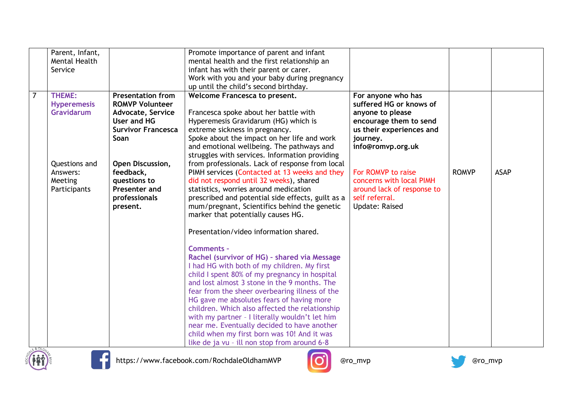|                | Parent, Infant,    |                           | Promote importance of parent and infant           |                            |              |             |
|----------------|--------------------|---------------------------|---------------------------------------------------|----------------------------|--------------|-------------|
|                | Mental Health      |                           | mental health and the first relationship an       |                            |              |             |
|                | Service            |                           | infant has with their parent or carer.            |                            |              |             |
|                |                    |                           | Work with you and your baby during pregnancy      |                            |              |             |
|                |                    |                           | up until the child's second birthday.             |                            |              |             |
| $\overline{7}$ | THEME:             | <b>Presentation from</b>  | Welcome Francesca to present.                     | For anyone who has         |              |             |
|                | <b>Hyperemesis</b> | <b>ROMVP Volunteer</b>    |                                                   | suffered HG or knows of    |              |             |
|                | Gravidarum         | Advocate, Service         | Francesca spoke about her battle with             | anyone to please           |              |             |
|                |                    | User and HG               | Hyperemesis Gravidarum (HG) which is              | encourage them to send     |              |             |
|                |                    | <b>Survivor Francesca</b> | extreme sickness in pregnancy.                    | us their experiences and   |              |             |
|                |                    | Soan                      | Spoke about the impact on her life and work       | journey.                   |              |             |
|                |                    |                           | and emotional wellbeing. The pathways and         | info@romvp.org.uk          |              |             |
|                |                    |                           | struggles with services. Information providing    |                            |              |             |
|                | Questions and      | Open Discussion,          | from professionals. Lack of response from local   |                            |              |             |
|                | Answers:           | feedback,                 | PIMH services (Contacted at 13 weeks and they     | For ROMVP to raise         | <b>ROMVP</b> | <b>ASAP</b> |
|                | Meeting            | questions to              | did not respond until 32 weeks), shared           | concerns with local PIMH   |              |             |
|                | Participants       | Presenter and             | statistics, worries around medication             | around lack of response to |              |             |
|                |                    | professionals             | prescribed and potential side effects, guilt as a | self referral.             |              |             |
|                |                    | present.                  | mum/pregnant, Scientifics behind the genetic      | <b>Update: Raised</b>      |              |             |
|                |                    |                           | marker that potentially causes HG.                |                            |              |             |
|                |                    |                           |                                                   |                            |              |             |
|                |                    |                           | Presentation/video information shared.            |                            |              |             |
|                |                    |                           | Comments -                                        |                            |              |             |
|                |                    |                           | Rachel (survivor of HG) - shared via Message      |                            |              |             |
|                |                    |                           | I had HG with both of my children. My first       |                            |              |             |
|                |                    |                           | child I spent 80% of my pregnancy in hospital     |                            |              |             |
|                |                    |                           | and lost almost 3 stone in the 9 months. The      |                            |              |             |
|                |                    |                           | fear from the sheer overbearing illness of the    |                            |              |             |
|                |                    |                           | HG gave me absolutes fears of having more         |                            |              |             |
|                |                    |                           | children. Which also affected the relationship    |                            |              |             |
|                |                    |                           | with my partner - I literally wouldn't let him    |                            |              |             |
|                |                    |                           | near me. Eventually decided to have another       |                            |              |             |
|                |                    |                           | child when my first born was 10! And it was       |                            |              |             |
|                |                    |                           | like de ja vu - ill non stop from around 6-8      |                            |              |             |
| LE&OLDN        |                    |                           |                                                   |                            |              |             |





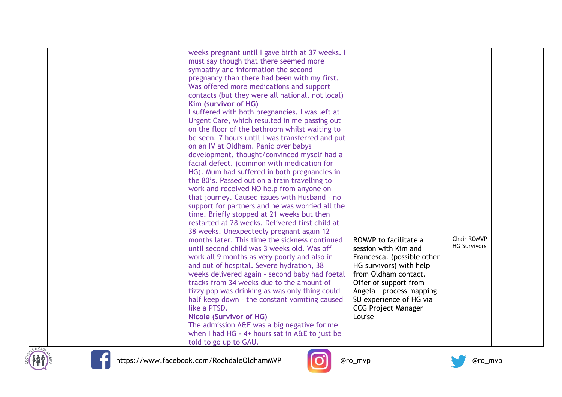| weeks pregnant until I gave birth at 37 weeks. I<br>must say though that there seemed more<br>sympathy and information the second<br>pregnancy than there had been with my first.<br>Was offered more medications and support<br>contacts (but they were all national, not local)<br>Kim (survivor of HG)<br>I suffered with both pregnancies. I was left at<br>Urgent Care, which resulted in me passing out<br>on the floor of the bathroom whilst waiting to<br>be seen. 7 hours until I was transferred and put<br>on an IV at Oldham. Panic over babys<br>development, thought/convinced myself had a<br>facial defect. (common with medication for<br>HG). Mum had suffered in both pregnancies in<br>the 80's. Passed out on a train travelling to<br>work and received NO help from anyone on<br>that journey. Caused issues with Husband - no<br>support for partners and he was worried all the<br>time. Briefly stopped at 21 weeks but then<br>restarted at 28 weeks. Delivered first child at<br>38 weeks. Unexpectedly pregnant again 12<br>Chair ROMVP<br>months later. This time the sickness continued<br>ROMVP to facilitate a<br><b>HG Survivors</b><br>until second child was 3 weeks old. Was off<br>session with Kim and<br>work all 9 months as very poorly and also in<br>Francesca. (possible other<br>and out of hospital. Severe hydration, 38<br>HG survivors) with help<br>from Oldham contact.<br>weeks delivered again - second baby had foetal<br>tracks from 34 weeks due to the amount of<br>Offer of support from<br>fizzy pop was drinking as was only thing could<br>Angela - process mapping<br>half keep down - the constant vomiting caused<br>SU experience of HG via |  |
|----------------------------------------------------------------------------------------------------------------------------------------------------------------------------------------------------------------------------------------------------------------------------------------------------------------------------------------------------------------------------------------------------------------------------------------------------------------------------------------------------------------------------------------------------------------------------------------------------------------------------------------------------------------------------------------------------------------------------------------------------------------------------------------------------------------------------------------------------------------------------------------------------------------------------------------------------------------------------------------------------------------------------------------------------------------------------------------------------------------------------------------------------------------------------------------------------------------------------------------------------------------------------------------------------------------------------------------------------------------------------------------------------------------------------------------------------------------------------------------------------------------------------------------------------------------------------------------------------------------------------------------------------------------------------------------------------------------|--|
| like a PTSD.<br><b>CCG Project Manager</b><br>Louise<br><b>Nicole (Survivor of HG)</b><br>The admission A&E was a big negative for me<br>when I had HG - 4+ hours sat in A&E to just be<br>told to go up to GAU.                                                                                                                                                                                                                                                                                                                                                                                                                                                                                                                                                                                                                                                                                                                                                                                                                                                                                                                                                                                                                                                                                                                                                                                                                                                                                                                                                                                                                                                                                               |  |





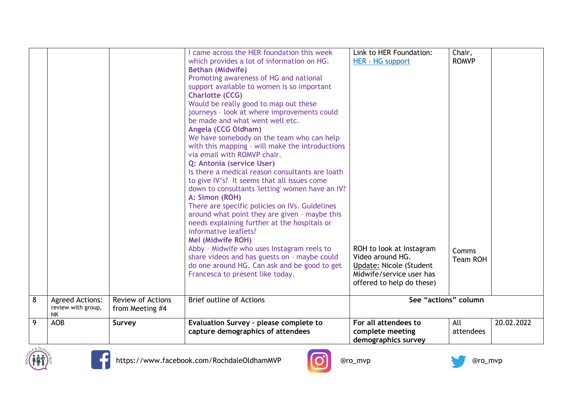|                |                                                           |                                             | came across the HER foundation this week<br>which provides a lot of information on HG.<br><b>Bethan (Midwife)</b><br>Promoting awareness of HG and national<br>support available to women is so important<br><b>Charlotte (CCG)</b><br>Would be really good to map out these<br>journeys - look at where improvements could<br>be made and what went well etc.<br>Angela (CCG Oldham)<br>We have somebody on the team who can help<br>with this mapping - will make the introductions<br>via email with ROMVP chair.<br>Q: Antonia (service User)<br>Is there a medical reason consultants are loath<br>to give IV's? It seems that all issues come<br>down to consultants 'letting' women have an IV?<br>A: Simon (ROH)<br>There are specific policies on IVs. Guidelines<br>around what point they are given - maybe this<br>needs explaining further at the hospitals or<br>informative leaflets?<br><b>Mel (Midwife ROH)</b><br>Abby - Midwife who uses Instagram reels to<br>share videos and has guests on - maybe could<br>do one around HG. Can ask and be good to get<br>Francesca to present like today. | Link to HER Foundation:<br>HER - HG support<br>ROH to look at Instagram<br>Video around HG.<br>Update: Nicole (Student<br>Midwife/service user has<br>offered to help do these) | Chair,<br><b>ROMVP</b><br>Comms<br><b>Team ROH</b> |            |
|----------------|-----------------------------------------------------------|---------------------------------------------|--------------------------------------------------------------------------------------------------------------------------------------------------------------------------------------------------------------------------------------------------------------------------------------------------------------------------------------------------------------------------------------------------------------------------------------------------------------------------------------------------------------------------------------------------------------------------------------------------------------------------------------------------------------------------------------------------------------------------------------------------------------------------------------------------------------------------------------------------------------------------------------------------------------------------------------------------------------------------------------------------------------------------------------------------------------------------------------------------------------------|---------------------------------------------------------------------------------------------------------------------------------------------------------------------------------|----------------------------------------------------|------------|
| $\overline{8}$ | <b>Agreed Actions:</b><br>review with group,<br><b>NK</b> | <b>Review of Actions</b><br>from Meeting #4 | <b>Brief outline of Actions</b>                                                                                                                                                                                                                                                                                                                                                                                                                                                                                                                                                                                                                                                                                                                                                                                                                                                                                                                                                                                                                                                                                    | See "actions" column                                                                                                                                                            |                                                    |            |
| $\overline{9}$ | AO <sub>B</sub>                                           | Survey                                      | Evaluation Survey - please complete to<br>capture demographics of attendees                                                                                                                                                                                                                                                                                                                                                                                                                                                                                                                                                                                                                                                                                                                                                                                                                                                                                                                                                                                                                                        | For all attendees to<br>complete meeting<br>demographics survey                                                                                                                 | All<br>attendees                                   | 20.02.2022 |





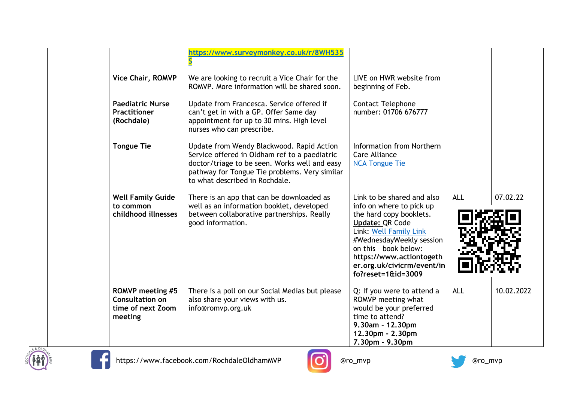|  |                                                                                   | https://www.surveymonkey.co.uk/r/8WH535                                                                                                                                                                                        |                                                                                                                                                                                                                                                                           |            |            |
|--|-----------------------------------------------------------------------------------|--------------------------------------------------------------------------------------------------------------------------------------------------------------------------------------------------------------------------------|---------------------------------------------------------------------------------------------------------------------------------------------------------------------------------------------------------------------------------------------------------------------------|------------|------------|
|  | Vice Chair, ROMVP                                                                 | We are looking to recruit a Vice Chair for the<br>ROMVP. More information will be shared soon.                                                                                                                                 | LIVE on HWR website from<br>beginning of Feb.                                                                                                                                                                                                                             |            |            |
|  | <b>Paediatric Nurse</b><br><b>Practitioner</b><br>(Rochdale)                      | Update from Francesca. Service offered if<br>can't get in with a GP. Offer Same day<br>appointment for up to 30 mins. High level<br>nurses who can prescribe.                                                                  | <b>Contact Telephone</b><br>number: 01706 676777                                                                                                                                                                                                                          |            |            |
|  | <b>Tongue Tie</b>                                                                 | Update from Wendy Blackwood. Rapid Action<br>Service offered in Oldham ref to a paediatric<br>doctor/triage to be seen. Works well and easy<br>pathway for Tongue Tie problems. Very similar<br>to what described in Rochdale. | Information from Northern<br>Care Alliance<br><b>NCA Tongue Tie</b>                                                                                                                                                                                                       |            |            |
|  | <b>Well Family Guide</b><br>to common<br>childhood illnesses                      | There is an app that can be downloaded as<br>well as an information booklet, developed<br>between collaborative partnerships. Really<br>good information.                                                                      | Link to be shared and also<br>info on where to pick up<br>the hard copy booklets.<br><b>Update: QR Code</b><br>Link: Well Family Link<br>#WednesdayWeekly session<br>on this - book below:<br>https://www.actiontogeth<br>er.org.uk/civicrm/event/in<br>$fo?reset = 1009$ | <b>ALL</b> | 07.02.22   |
|  | <b>ROMVP</b> meeting #5<br><b>Consultation on</b><br>time of next Zoom<br>meeting | There is a poll on our Social Medias but please<br>also share your views with us.<br>info@romvp.org.uk                                                                                                                         | Q: If you were to attend a<br>ROMVP meeting what<br>would be your preferred<br>time to attend?<br>9.30am - 12.30pm<br>12.30pm - 2.30pm<br>7.30pm - 9.30pm                                                                                                                 | <b>ALL</b> | 10.02.2022 |